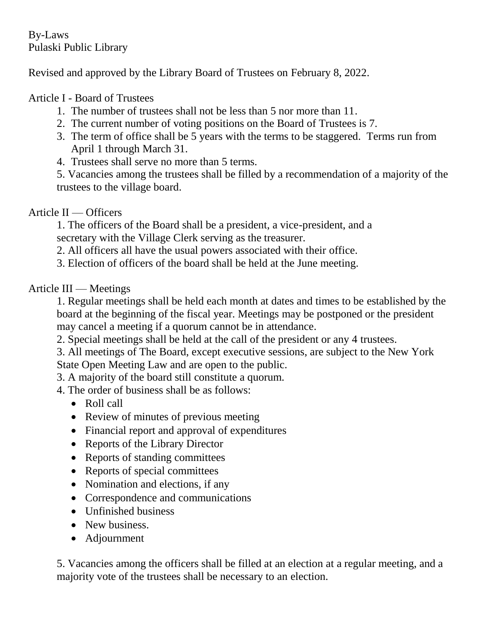By-Laws Pulaski Public Library

Revised and approved by the Library Board of Trustees on February 8, 2022.

## Article I - Board of Trustees

- 1. The number of trustees shall not be less than 5 nor more than 11.
- 2. The current number of voting positions on the Board of Trustees is 7.
- 3. The term of office shall be 5 years with the terms to be staggered. Terms run from April 1 through March 31.
- 4. Trustees shall serve no more than 5 terms.

5. Vacancies among the trustees shall be filled by a recommendation of a majority of the trustees to the village board.

## Article II — Officers

1. The officers of the Board shall be a president, a vice-president, and a secretary with the Village Clerk serving as the treasurer.

2. All officers all have the usual powers associated with their office.

3. Election of officers of the board shall be held at the June meeting.

## Article III — Meetings

1. Regular meetings shall be held each month at dates and times to be established by the board at the beginning of the fiscal year. Meetings may be postponed or the president may cancel a meeting if a quorum cannot be in attendance.

2. Special meetings shall be held at the call of the president or any 4 trustees.

3. All meetings of The Board, except executive sessions, are subject to the New York State Open Meeting Law and are open to the public.

- 3. A majority of the board still constitute a quorum.
- 4. The order of business shall be as follows:
	- Roll call
	- Review of minutes of previous meeting
	- Financial report and approval of expenditures
	- Reports of the Library Director
	- Reports of standing committees
	- Reports of special committees
	- Nomination and elections, if any
	- Correspondence and communications
	- Unfinished business
	- New business.
	- Adjournment

5. Vacancies among the officers shall be filled at an election at a regular meeting, and a majority vote of the trustees shall be necessary to an election.